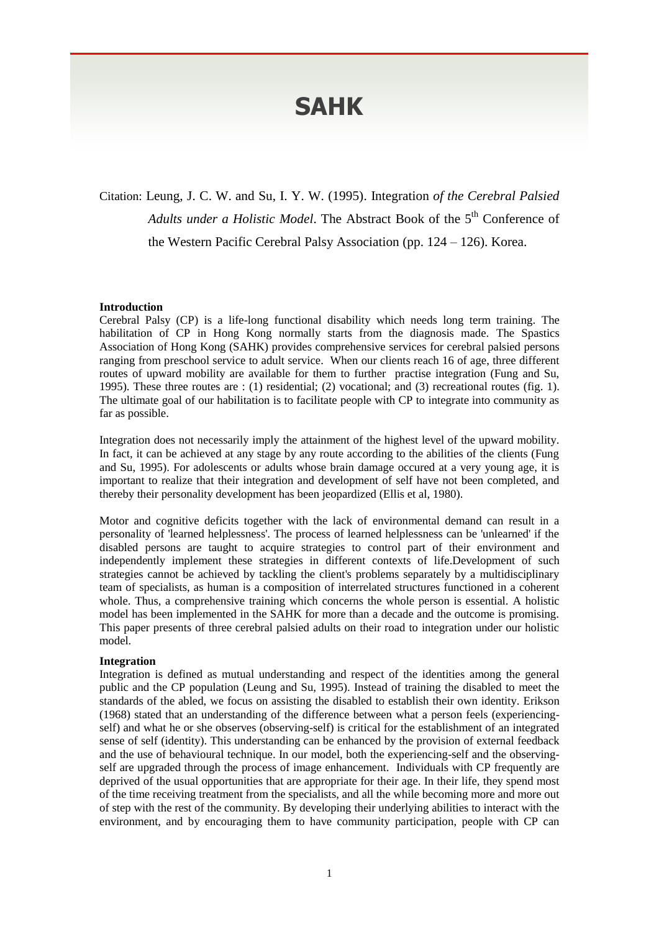# **SAHK**

Citation: Leung, J. C. W. and Su, I. Y. W. (1995). Integration *of the Cerebral Palsied*  Adults under a Holistic Model. The Abstract Book of the 5<sup>th</sup> Conference of the Western Pacific Cerebral Palsy Association (pp. 124 – 126). Korea.

### **Introduction**

Cerebral Palsy (CP) is a life-long functional disability which needs long term training. The habilitation of CP in Hong Kong normally starts from the diagnosis made. The Spastics Association of Hong Kong (SAHK) provides comprehensive services for cerebral palsied persons ranging from preschool service to adult service. When our clients reach 16 of age, three different routes of upward mobility are available for them to further practise integration (Fung and Su, 1995). These three routes are : (1) residential; (2) vocational; and (3) recreational routes (fig. 1). The ultimate goal of our habilitation is to facilitate people with CP to integrate into community as far as possible.

Integration does not necessarily imply the attainment of the highest level of the upward mobility. In fact, it can be achieved at any stage by any route according to the abilities of the clients (Fung and Su, 1995). For adolescents or adults whose brain damage occured at a very young age, it is important to realize that their integration and development of self have not been completed, and thereby their personality development has been jeopardized (Ellis et al, 1980).

Motor and cognitive deficits together with the lack of environmental demand can result in a personality of 'learned helplessness'. The process of learned helplessness can be 'unlearned' if the disabled persons are taught to acquire strategies to control part of their environment and independently implement these strategies in different contexts of life.Development of such strategies cannot be achieved by tackling the client's problems separately by a multidisciplinary team of specialists, as human is a composition of interrelated structures functioned in a coherent whole. Thus, a comprehensive training which concerns the whole person is essential. A holistic model has been implemented in the SAHK for more than a decade and the outcome is promising. This paper presents of three cerebral palsied adults on their road to integration under our holistic model.

#### **Integration**

Integration is defined as mutual understanding and respect of the identities among the general public and the CP population (Leung and Su, 1995). Instead of training the disabled to meet the standards of the abled, we focus on assisting the disabled to establish their own identity. Erikson (1968) stated that an understanding of the difference between what a person feels (experiencingself) and what he or she observes (observing-self) is critical for the establishment of an integrated sense of self (identity). This understanding can be enhanced by the provision of external feedback and the use of behavioural technique. In our model, both the experiencing-self and the observingself are upgraded through the process of image enhancement. Individuals with CP frequently are deprived of the usual opportunities that are appropriate for their age. In their life, they spend most of the time receiving treatment from the specialists, and all the while becoming more and more out of step with the rest of the community. By developing their underlying abilities to interact with the environment, and by encouraging them to have community participation, people with CP can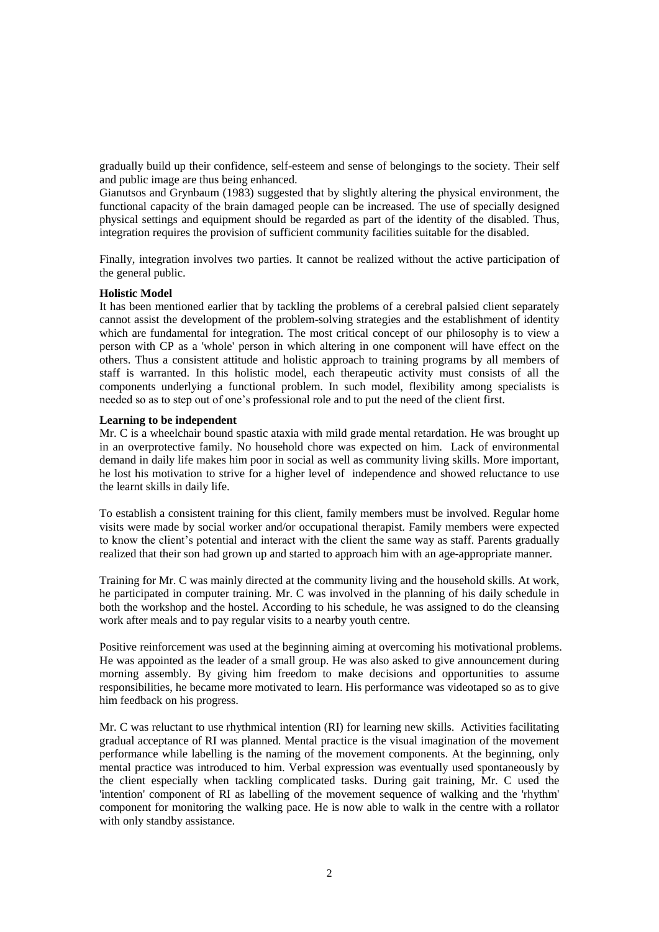gradually build up their confidence, self-esteem and sense of belongings to the society. Their self and public image are thus being enhanced.

Gianutsos and Grynbaum (1983) suggested that by slightly altering the physical environment, the functional capacity of the brain damaged people can be increased. The use of specially designed physical settings and equipment should be regarded as part of the identity of the disabled. Thus, integration requires the provision of sufficient community facilities suitable for the disabled.

Finally, integration involves two parties. It cannot be realized without the active participation of the general public.

## **Holistic Model**

It has been mentioned earlier that by tackling the problems of a cerebral palsied client separately cannot assist the development of the problem-solving strategies and the establishment of identity which are fundamental for integration. The most critical concept of our philosophy is to view a person with CP as a 'whole' person in which altering in one component will have effect on the others. Thus a consistent attitude and holistic approach to training programs by all members of staff is warranted. In this holistic model, each therapeutic activity must consists of all the components underlying a functional problem. In such model, flexibility among specialists is needed so as to step out of one's professional role and to put the need of the client first.

#### **Learning to be independent**

Mr. C is a wheelchair bound spastic ataxia with mild grade mental retardation. He was brought up in an overprotective family. No household chore was expected on him. Lack of environmental demand in daily life makes him poor in social as well as community living skills. More important, he lost his motivation to strive for a higher level of independence and showed reluctance to use the learnt skills in daily life.

To establish a consistent training for this client, family members must be involved. Regular home visits were made by social worker and/or occupational therapist. Family members were expected to know the client's potential and interact with the client the same way as staff. Parents gradually realized that their son had grown up and started to approach him with an age-appropriate manner.

Training for Mr. C was mainly directed at the community living and the household skills. At work, he participated in computer training. Mr. C was involved in the planning of his daily schedule in both the workshop and the hostel. According to his schedule, he was assigned to do the cleansing work after meals and to pay regular visits to a nearby youth centre.

Positive reinforcement was used at the beginning aiming at overcoming his motivational problems. He was appointed as the leader of a small group. He was also asked to give announcement during morning assembly. By giving him freedom to make decisions and opportunities to assume responsibilities, he became more motivated to learn. His performance was videotaped so as to give him feedback on his progress.

Mr. C was reluctant to use rhythmical intention (RI) for learning new skills. Activities facilitating gradual acceptance of RI was planned. Mental practice is the visual imagination of the movement performance while labelling is the naming of the movement components. At the beginning, only mental practice was introduced to him. Verbal expression was eventually used spontaneously by the client especially when tackling complicated tasks. During gait training, Mr. C used the 'intention' component of RI as labelling of the movement sequence of walking and the 'rhythm' component for monitoring the walking pace. He is now able to walk in the centre with a rollator with only standby assistance.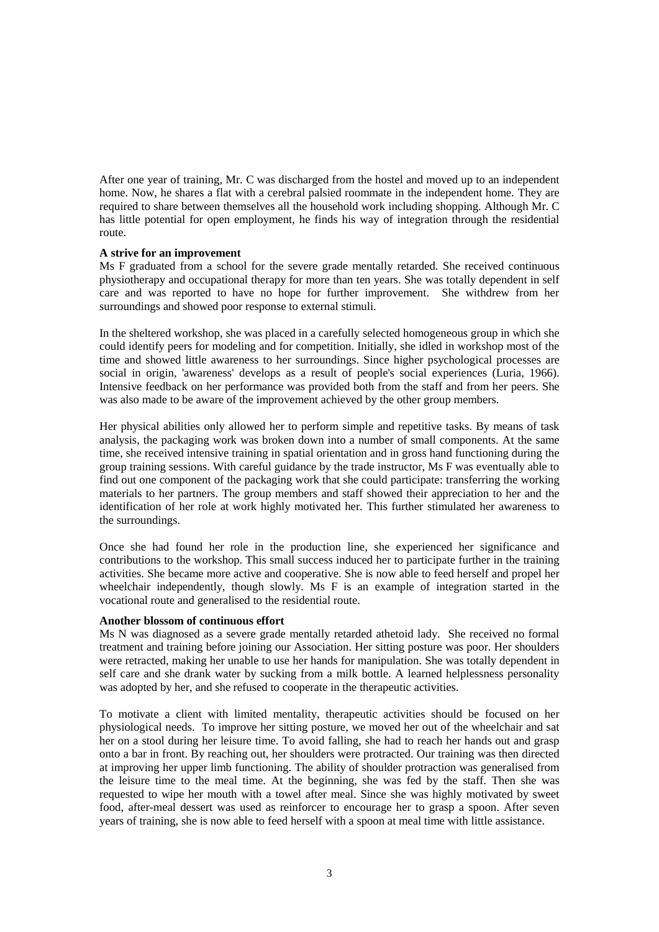After one year of training, Mr. C was discharged from the hostel and moved up to an independent home. Now, he shares a flat with a cerebral palsied roommate in the independent home. They are required to share between themselves all the household work including shopping. Although Mr. C has little potential for open employment, he finds his way of integration through the residential route.

# **A strive for an improvement**

Ms F graduated from a school for the severe grade mentally retarded. She received continuous physiotherapy and occupational therapy for more than ten years. She was totally dependent in self care and was reported to have no hope for further improvement. She withdrew from her surroundings and showed poor response to external stimuli.

In the sheltered workshop, she was placed in a carefully selected homogeneous group in which she could identify peers for modeling and for competition. Initially, she idled in workshop most of the time and showed little awareness to her surroundings. Since higher psychological processes are social in origin, 'awareness' develops as a result of people's social experiences (Luria, 1966). Intensive feedback on her performance was provided both from the staff and from her peers. She was also made to be aware of the improvement achieved by the other group members.

Her physical abilities only allowed her to perform simple and repetitive tasks. By means of task analysis, the packaging work was broken down into a number of small components. At the same time, she received intensive training in spatial orientation and in gross hand functioning during the group training sessions. With careful guidance by the trade instructor, Ms F was eventually able to find out one component of the packaging work that she could participate: transferring the working materials to her partners. The group members and staff showed their appreciation to her and the identification of her role at work highly motivated her. This further stimulated her awareness to the surroundings.

Once she had found her role in the production line, she experienced her significance and contributions to the workshop. This small success induced her to participate further in the training activities. She became more active and cooperative. She is now able to feed herself and propel her wheelchair independently, though slowly. Ms F is an example of integration started in the vocational route and generalised to the residential route.

# **Another blossom of continuous effort**

Ms N was diagnosed as a severe grade mentally retarded athetoid lady. She received no formal treatment and training before joining our Association. Her sitting posture was poor. Her shoulders were retracted, making her unable to use her hands for manipulation. She was totally dependent in self care and she drank water by sucking from a milk bottle. A learned helplessness personality was adopted by her, and she refused to cooperate in the therapeutic activities.

To motivate a client with limited mentality, therapeutic activities should be focused on her physiological needs. To improve her sitting posture, we moved her out of the wheelchair and sat her on a stool during her leisure time. To avoid falling, she had to reach her hands out and grasp onto a bar in front. By reaching out, her shoulders were protracted. Our training was then directed at improving her upper limb functioning. The ability of shoulder protraction was generalised from the leisure time to the meal time. At the beginning, she was fed by the staff. Then she was requested to wipe her mouth with a towel after meal. Since she was highly motivated by sweet food, after-meal dessert was used as reinforcer to encourage her to grasp a spoon. After seven years of training, she is now able to feed herself with a spoon at meal time with little assistance.